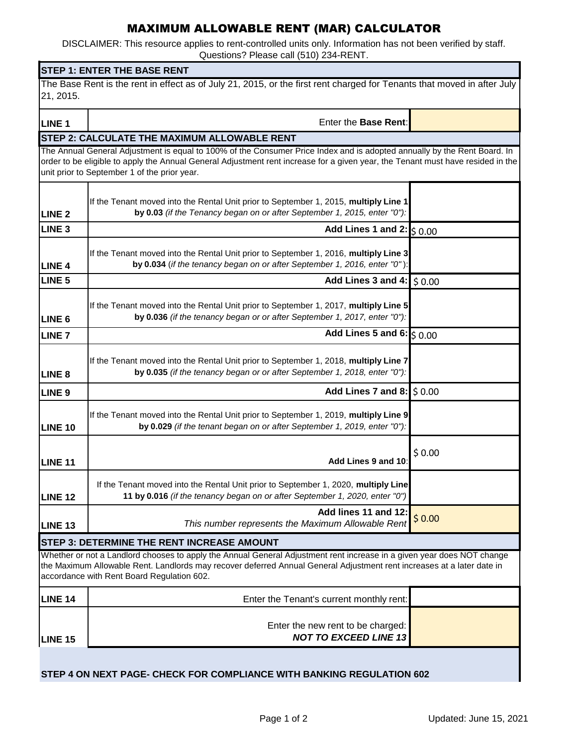## MAXIMUM ALLOWABLE RENT (MAR) CALCULATOR

DISCLAIMER: This resource applies to rent-controlled units only. Information has not been verified by staff. Questions? Please call (510) 234-RENT.

| <b>STEP 1: ENTER THE BASE RENT</b><br>The Base Rent is the rent in effect as of July 21, 2015, or the first rent charged for Tenants that moved in after July<br>21, 2015. |                                                                                                                                                                                                                                                                                                             |        |  |
|----------------------------------------------------------------------------------------------------------------------------------------------------------------------------|-------------------------------------------------------------------------------------------------------------------------------------------------------------------------------------------------------------------------------------------------------------------------------------------------------------|--------|--|
|                                                                                                                                                                            |                                                                                                                                                                                                                                                                                                             |        |  |
|                                                                                                                                                                            | <b>STEP 2: CALCULATE THE MAXIMUM ALLOWABLE RENT</b>                                                                                                                                                                                                                                                         |        |  |
|                                                                                                                                                                            | The Annual General Adjustment is equal to 100% of the Consumer Price Index and is adopted annually by the Rent Board. In<br>order to be eligible to apply the Annual General Adjustment rent increase for a given year, the Tenant must have resided in the<br>unit prior to September 1 of the prior year. |        |  |
| <b>LINE 2</b>                                                                                                                                                              | If the Tenant moved into the Rental Unit prior to September 1, 2015, multiply Line 1<br>by 0.03 (if the Tenancy began on or after September 1, 2015, enter "0"):                                                                                                                                            |        |  |
| <b>LINE 3</b>                                                                                                                                                              | Add Lines 1 and $2:$ $\lesssim 0.00$                                                                                                                                                                                                                                                                        |        |  |
| <b>LINE 4</b>                                                                                                                                                              | If the Tenant moved into the Rental Unit prior to September 1, 2016, multiply Line 3<br>by 0.034 (if the tenancy began on or after September 1, 2016, enter "0"):                                                                                                                                           |        |  |
| LINE <sub>5</sub>                                                                                                                                                          | Add Lines 3 and 4:                                                                                                                                                                                                                                                                                          | \$0.00 |  |
| LINE <sub>6</sub>                                                                                                                                                          | If the Tenant moved into the Rental Unit prior to September 1, 2017, multiply Line 5<br>by 0.036 (if the tenancy began or or after September 1, 2017, enter "0"):                                                                                                                                           |        |  |
| <b>LINE 7</b>                                                                                                                                                              | Add Lines 5 and 6: $\frac{1}{5}$ 0.00                                                                                                                                                                                                                                                                       |        |  |
| LINE <sub>8</sub>                                                                                                                                                          | If the Tenant moved into the Rental Unit prior to September 1, 2018, multiply Line 7<br>by 0.035 (if the tenancy began or or after September 1, 2018, enter "0"):                                                                                                                                           |        |  |
| LINE <sub>9</sub>                                                                                                                                                          | Add Lines 7 and 8: $\frac{1}{2}$ 0.00                                                                                                                                                                                                                                                                       |        |  |
| <b>LINE 10</b>                                                                                                                                                             | If the Tenant moved into the Rental Unit prior to September 1, 2019, multiply Line 9<br>by 0.029 (if the tenant began on or after September 1, 2019, enter "0"):                                                                                                                                            |        |  |
| <b>LINE 11</b>                                                                                                                                                             | Add Lines 9 and 10:                                                                                                                                                                                                                                                                                         | \$0.00 |  |
| <b>LINE 12</b>                                                                                                                                                             | If the Tenant moved into the Rental Unit prior to September 1, 2020, multiply Line<br>11 by 0.016 (if the tenancy began on or after September 1, 2020, enter "0")                                                                                                                                           |        |  |
| LINE <sub>13</sub>                                                                                                                                                         | Add lines 11 and 12:<br>This number represents the Maximum Allowable Rent                                                                                                                                                                                                                                   | \$0.00 |  |
|                                                                                                                                                                            | <b>STEP 3: DETERMINE THE RENT INCREASE AMOUNT</b>                                                                                                                                                                                                                                                           |        |  |
|                                                                                                                                                                            | Whether or not a Landlord chooses to apply the Annual General Adjustment rent increase in a given year does NOT change<br>the Maximum Allowable Rent. Landlords may recover deferred Annual General Adjustment rent increases at a later date in<br>accordance with Rent Board Regulation 602.              |        |  |
| <b>LINE 14</b>                                                                                                                                                             | Enter the Tenant's current monthly rent:                                                                                                                                                                                                                                                                    |        |  |
| <b>LINE 15</b>                                                                                                                                                             | Enter the new rent to be charged:<br><b>NOT TO EXCEED LINE 13</b>                                                                                                                                                                                                                                           |        |  |
| STEP 4 ON NEXT PAGE- CHECK FOR COMPLIANCE WITH BANKING REGULATION 602                                                                                                      |                                                                                                                                                                                                                                                                                                             |        |  |